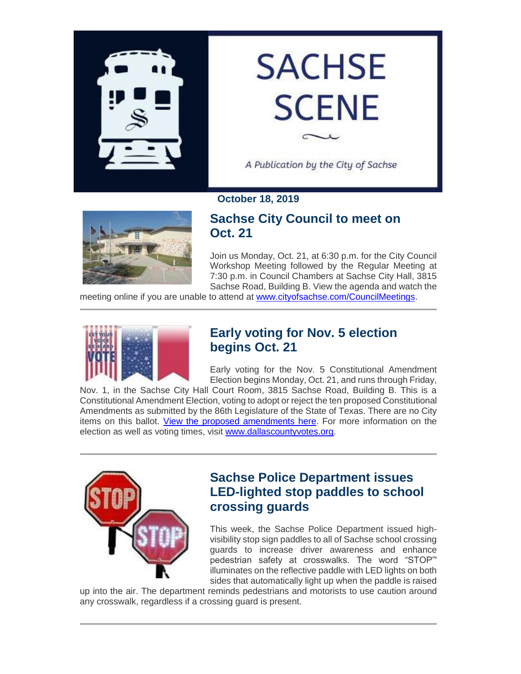

# **SACHSE SCENE**

A Publication by the City of Sachse

#### **October 18, 2019**



# **Sachse City Council to meet on Oct. 21**

Join us Monday, Oct. 21, at 6:30 p.m. for the City Council Workshop Meeting followed by the Regular Meeting at 7:30 p.m. in Council Chambers at Sachse City Hall, 3815 Sachse Road, Building B. View the agenda and watch the

meeting online if you are unable to attend at [www.cityofsachse.com/CouncilMeetings.](https://gcc02.safelinks.protection.outlook.com/?url=http%3A%2F%2Fwww.cityofsachse.com%2FCouncilMeetings&data=02%7C01%7Cjwhitworth%40cityofsachse.com%7C18635f972a6443500cd208d75414bfc4%7C2a2b11936d0c45a9ae5a7c6641125792%7C0%7C0%7C637070320404799160&sdata=aFllzIJSLRocD%2F73kxHJl%2BvilmirchGKzLnurNyhu%2FM%3D&reserved=0)



# **Early voting for Nov. 5 election begins Oct. 21**

Early voting for the Nov. 5 Constitutional Amendment Election begins Monday, Oct. 21, and runs through Friday,

Nov. 1, in the Sachse City Hall Court Room, 3815 Sachse Road, Building B. This is a Constitutional Amendment Election, voting to adopt or reject the ten proposed Constitutional Amendments as submitted by the 86th Legislature of the State of Texas. There are no City items on this ballot. [View the proposed amendments here.](https://gcc02.safelinks.protection.outlook.com/?url=https%3A%2F%2Fwww.sos.state.tx.us%2Fabout%2Fnewsreleases%2F2019%2F072319.shtml&data=02%7C01%7Cjwhitworth%40cityofsachse.com%7C18635f972a6443500cd208d75414bfc4%7C2a2b11936d0c45a9ae5a7c6641125792%7C0%7C0%7C637070320404799160&sdata=70Hp8LuLKEfXXXvJW8GCWzHTSS%2B%2Bw9Itx22FjEzv2rM%3D&reserved=0) For more information on the election as well as voting times, visit [www.dallascountyvotes.org.](https://gcc02.safelinks.protection.outlook.com/?url=http%3A%2F%2Fwww.dallascountyvotes.org%2F&data=02%7C01%7Cjwhitworth%40cityofsachse.com%7C18635f972a6443500cd208d75414bfc4%7C2a2b11936d0c45a9ae5a7c6641125792%7C0%7C0%7C637070320404809153&sdata=TemiiBtxVMUOe9DgH9ZrQNE0ChZURWQoac%2BGAMRC0gY%3D&reserved=0)



# **Sachse Police Department issues LED-lighted stop paddles to school crossing guards**

This week, the Sachse Police Department issued highvisibility stop sign paddles to all of Sachse school crossing guards to increase driver awareness and enhance pedestrian safety at crosswalks. The word "STOP"' illuminates on the reflective paddle with LED lights on both sides that automatically light up when the paddle is raised

up into the air. The department reminds pedestrians and motorists to use caution around any crosswalk, regardless if a crossing guard is present.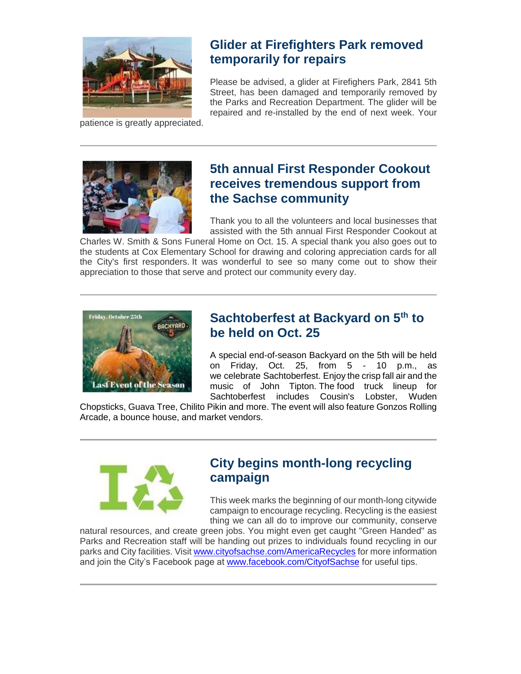

patience is greatly appreciated.

# **Glider at Firefighters Park removed temporarily for repairs**

Please be advised, a glider at Firefighers Park, 2841 5th Street, has been damaged and temporarily removed by the Parks and Recreation Department. The glider will be repaired and re-installed by the end of next week. Your



# **5th annual First Responder Cookout receives tremendous support from the Sachse community**

Thank you to all the volunteers and local businesses that assisted with the 5th annual First Responder Cookout at

Charles W. Smith & Sons Funeral Home on Oct. 15. A special thank you also goes out to the students at Cox Elementary School for drawing and coloring appreciation cards for all the City's first responders. It was wonderful to see so many come out to show their appreciation to those that serve and protect our community every day.



# **Sachtoberfest at Backyard on 5th to be held on Oct. 25**

A special end-of-season Backyard on the 5th will be held on Friday, Oct. 25, from 5 - 10 p.m., as we celebrate Sachtoberfest. Enjoy the crisp fall air and the music of John Tipton. The food truck lineup for Sachtoberfest includes Cousin's Lobster, Wuden

Chopsticks, Guava Tree, Chilito Pikin and more. The event will also feature Gonzos Rolling Arcade, a bounce house, and market vendors.



# **City begins month-long recycling campaign**

This week marks the beginning of our month-long citywide campaign to encourage recycling. Recycling is the easiest thing we can all do to improve our community, conserve

natural resources, and create green jobs. You might even get caught "Green Handed" as Parks and Recreation staff will be handing out prizes to individuals found recycling in our parks and City facilities. Visit [www.cityofsachse.com/AmericaRecycles](https://gcc02.safelinks.protection.outlook.com/?url=http%3A%2F%2Fwww.cityofsachse.com%2FAmericaRecycles&data=02%7C01%7Cjwhitworth%40cityofsachse.com%7C18635f972a6443500cd208d75414bfc4%7C2a2b11936d0c45a9ae5a7c6641125792%7C0%7C0%7C637070320404809153&sdata=9IVg%2BJL8vsnzYmOhLuEDXAGbFI%2BjsggPWp%2BdzKXU918%3D&reserved=0) for more information and join the City's Facebook page at [www.facebook.com/CityofSachse](https://gcc02.safelinks.protection.outlook.com/?url=http%3A%2F%2Fwww.facebook.com%2FCityofSachse&data=02%7C01%7Cjwhitworth%40cityofsachse.com%7C18635f972a6443500cd208d75414bfc4%7C2a2b11936d0c45a9ae5a7c6641125792%7C0%7C0%7C637070320404809153&sdata=3I3VvMKUCOezclGDgx0V1CY0H0ILLGPYarsDQ%2Bldaak%3D&reserved=0) for useful tips.